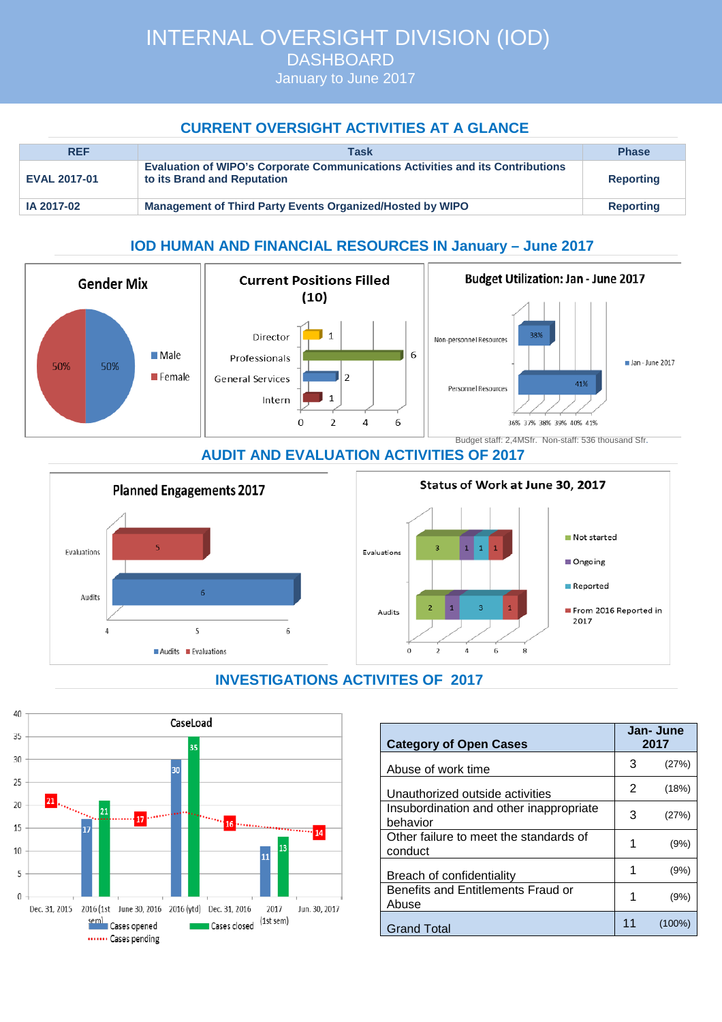INTERNAL OVERSIGHT DIVISION (IOD) DASHBOARD

January to June 2017

## **CURRENT OVERSIGHT ACTIVITIES AT A GLANCE**

| <b>REF</b>          | Task                                                                                                                 | <b>Phase</b>     |
|---------------------|----------------------------------------------------------------------------------------------------------------------|------------------|
| <b>EVAL 2017-01</b> | <b>Evaluation of WIPO's Corporate Communications Activities and its Contributions</b><br>to its Brand and Reputation | <b>Reporting</b> |
| IA 2017-02          | <b>Management of Third Party Events Organized/Hosted by WIPO</b>                                                     | <b>Reporting</b> |

## **IOD HUMAN AND FINANCIAL RESOURCES IN January – June 2017**



#### **AUDIT AND EVALUATION ACTIVITIES OF 2017**



# **INVESTIGATIONS ACTIVITES OF 2017**



| <b>Category of Open Cases</b>                       |    | Jan- June<br>2017 |  |
|-----------------------------------------------------|----|-------------------|--|
| Abuse of work time                                  | 3  | (27%)             |  |
| Unauthorized outside activities                     | 2  | (18%)             |  |
| Insubordination and other inappropriate<br>behavior | 3  | (27%)             |  |
| Other failure to meet the standards of<br>conduct   | 1  | (9%)              |  |
| Breach of confidentiality                           |    | (9%)              |  |
| Benefits and Entitlements Fraud or<br>Abuse         | 1  | (9%)              |  |
| Grand Total                                         | 11 | (100%)            |  |